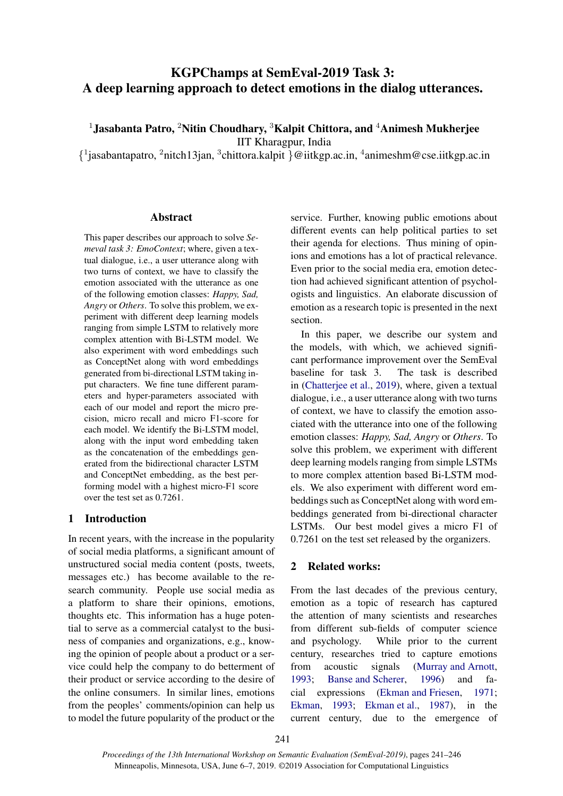# KGPChamps at SemEval-2019 Task 3: A deep learning approach to detect emotions in the dialog utterances.

<sup>1</sup> Jasabanta Patro, <sup>2</sup>Nitin Choudhary, <sup>3</sup>Kalpit Chittora, and <sup>4</sup>Animesh Mukherjee

IIT Kharagpur, India

{ 1 jasabantapatro, <sup>2</sup>nitch13jan, <sup>3</sup> chittora.kalpit }@iitkgp.ac.in, <sup>4</sup> animeshm@cse.iitkgp.ac.in

#### Abstract

This paper describes our approach to solve *Semeval task 3: EmoContext*; where, given a textual dialogue, i.e., a user utterance along with two turns of context, we have to classify the emotion associated with the utterance as one of the following emotion classes: *Happy, Sad, Angry* or *Others*. To solve this problem, we experiment with different deep learning models ranging from simple LSTM to relatively more complex attention with Bi-LSTM model. We also experiment with word embeddings such as ConceptNet along with word embeddings generated from bi-directional LSTM taking input characters. We fine tune different parameters and hyper-parameters associated with each of our model and report the micro precision, micro recall and micro F1-score for each model. We identify the Bi-LSTM model, along with the input word embedding taken as the concatenation of the embeddings generated from the bidirectional character LSTM and ConceptNet embedding, as the best performing model with a highest micro-F1 score over the test set as 0.7261.

# 1 Introduction

In recent years, with the increase in the popularity of social media platforms, a significant amount of unstructured social media content (posts, tweets, messages etc.) has become available to the research community. People use social media as a platform to share their opinions, emotions, thoughts etc. This information has a huge potential to serve as a commercial catalyst to the business of companies and organizations, e.g., knowing the opinion of people about a product or a service could help the company to do betterment of their product or service according to the desire of the online consumers. In similar lines, emotions from the peoples' comments/opinion can help us to model the future popularity of the product or the service. Further, knowing public emotions about different events can help political parties to set their agenda for elections. Thus mining of opinions and emotions has a lot of practical relevance. Even prior to the social media era, emotion detection had achieved significant attention of psychologists and linguistics. An elaborate discussion of emotion as a research topic is presented in the next section.

In this paper, we describe our system and the models, with which, we achieved significant performance improvement over the SemEval baseline for task 3. The task is described in [\(Chatterjee et al.](#page-4-0), [2019\)](#page-4-0), where, given a textual dialogue, i.e., a user utterance along with two turns of context, we have to classify the emotion associated with the utterance into one of the following emotion classes: *Happy, Sad, Angry* or *Others*. To solve this problem, we experiment with different deep learning models ranging from simple LSTMs to more complex attention based Bi-LSTM models. We also experiment with different word embeddings such as ConceptNet along with word embeddings generated from bi-directional character LSTMs. Our best model gives a micro F1 of 0.7261 on the test set released by the organizers.

# 2 Related works:

From the last decades of the previous century, emotion as a topic of research has captured the attention of many scientists and researches from different sub-fields of computer science and psychology. While prior to the current century, researches tried to capture emotions from acoustic signals [\(Murray and Arnott,](#page-4-1) [1993](#page-4-1); [Banse and Scherer](#page-3-0), [1996](#page-3-0)) and facial expressions [\(Ekman and Friesen,](#page-4-2) [1971;](#page-4-2) [Ekman](#page-4-3), [1993;](#page-4-3) [Ekman et al.,](#page-4-4) [1987](#page-4-4)), in the current century, due to the emergence of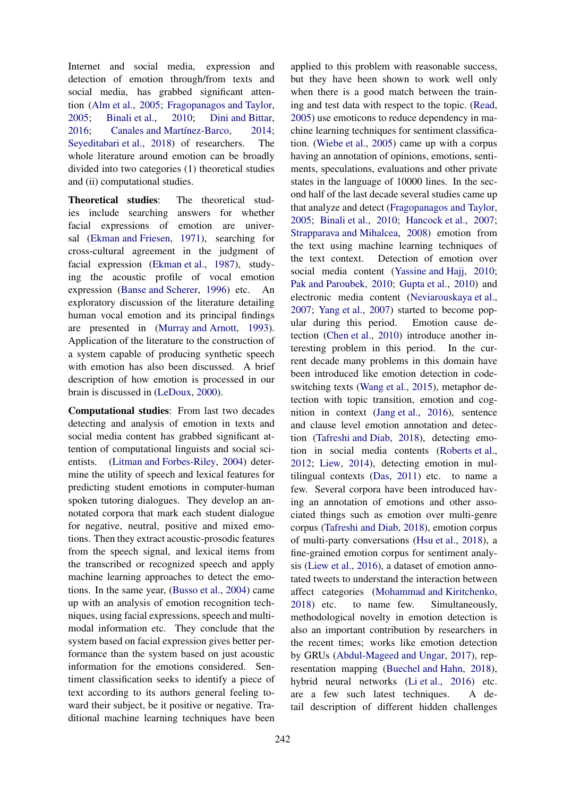Internet and social media, expression and detection of emotion through/from texts and social media, has grabbed significant attention [\(Alm et al.](#page-3-1), [2005](#page-3-1); [Fragopanagos and Taylor,](#page-4-5) [2005;](#page-4-5) [Binali et al.](#page-4-6), [2010](#page-4-6); [Dini and Bittar,](#page-4-7) 2016: Canales and Martínez-Barco, [2014](#page-4-8): [Seyeditabari et al.](#page-5-0), [2018](#page-5-0)) of researchers. The whole literature around emotion can be broadly divided into two categories (1) theoretical studies and (ii) computational studies.

Theoretical studies: The theoretical studies include searching answers for whether facial expressions of emotion are universal [\(Ekman and Friesen,](#page-4-2) [1971](#page-4-2)), searching for cross-cultural agreement in the judgment of facial expression [\(Ekman et al.](#page-4-4), [1987\)](#page-4-4), studying the acoustic profile of vocal emotion expression [\(Banse and Scherer](#page-3-0), [1996](#page-3-0)) etc. An exploratory discussion of the literature detailing human vocal emotion and its principal findings are presented in [\(Murray and Arnott,](#page-4-1) [1993\)](#page-4-1). Application of the literature to the construction of a system capable of producing synthetic speech with emotion has also been discussed. A brief description of how emotion is processed in our brain is discussed in [\(LeDoux](#page-4-9), [2000\)](#page-4-9).

Computational studies: From last two decades detecting and analysis of emotion in texts and social media content has grabbed significant attention of computational linguists and social scientists. [\(Litman and Forbes-Riley](#page-4-10), [2004](#page-4-10)) determine the utility of speech and lexical features for predicting student emotions in computer-human spoken tutoring dialogues. They develop an annotated corpora that mark each student dialogue for negative, neutral, positive and mixed emotions. Then they extract acoustic-prosodic features from the speech signal, and lexical items from the transcribed or recognized speech and apply machine learning approaches to detect the emotions. In the same year, [\(Busso et al.,](#page-4-11) [2004\)](#page-4-11) came up with an analysis of emotion recognition techniques, using facial expressions, speech and multimodal information etc. They conclude that the system based on facial expression gives better performance than the system based on just acoustic information for the emotions considered. Sentiment classification seeks to identify a piece of text according to its authors general feeling toward their subject, be it positive or negative. Traditional machine learning techniques have been applied to this problem with reasonable success, but they have been shown to work well only when there is a good match between the training and test data with respect to the topic. [\(Read,](#page-4-12) [2005](#page-4-12)) use emoticons to reduce dependency in machine learning techniques for sentiment classification. [\(Wiebe et al.,](#page-5-1) [2005\)](#page-5-1) came up with a corpus having an annotation of opinions, emotions, sentiments, speculations, evaluations and other private states in the language of 10000 lines. In the second half of the last decade several studies came up that analyze and detect [\(Fragopanagos and Taylor,](#page-4-5) [2005](#page-4-5); [Binali et al.,](#page-4-6) [2010;](#page-4-6) [Hancock et al.,](#page-4-13) [2007;](#page-4-13) [Strapparava and Mihalcea,](#page-5-2) [2008\)](#page-5-2) emotion from the text using machine learning techniques of the text context. Detection of emotion over social media content [\(Yassine and Hajj,](#page-5-3) [2010;](#page-5-3) [Pak and Paroubek,](#page-4-14) [2010;](#page-4-14) [Gupta et al.,](#page-4-15) [2010\)](#page-4-15) and electronic media content [\(Neviarouskaya et al.,](#page-4-16) [2007](#page-4-16); [Yang et al.](#page-5-4), [2007](#page-5-4)) started to become popular during this period. Emotion cause detection [\(Chen et al.](#page-4-17), [2010\)](#page-4-17) introduce another interesting problem in this period. In the current decade many problems in this domain have been introduced like emotion detection in codeswitching texts [\(Wang et al.](#page-5-5), [2015](#page-5-5)), metaphor detection with topic transition, emotion and cognition in context [\(Jang et al.,](#page-4-18) [2016](#page-4-18)), sentence and clause level emotion annotation and detection [\(Tafreshi and Diab](#page-5-6), [2018](#page-5-6)), detecting emotion in social media contents [\(Roberts et al.,](#page-4-19) [2012](#page-4-19); [Liew](#page-4-20), [2014](#page-4-20)), detecting emotion in multilingual contexts [\(Das](#page-4-21), [2011](#page-4-21)) etc. to name a few. Several corpora have been introduced having an annotation of emotions and other associated things such as emotion over multi-genre corpus [\(Tafreshi and Diab,](#page-5-6) [2018](#page-5-6)), emotion corpus of multi-party conversations [\(Hsu et al.,](#page-4-22) [2018](#page-4-22)), a fine-grained emotion corpus for sentiment analysis [\(Liew et al.,](#page-4-23) [2016](#page-4-23)), a dataset of emotion annotated tweets to understand the interaction between affect categories [\(Mohammad and Kiritchenko,](#page-4-24) [2018](#page-4-24)) etc. to name few. Simultaneously, methodological novelty in emotion detection is also an important contribution by researchers in the recent times; works like emotion detection by GRUs [\(Abdul-Mageed and Ungar](#page-3-2), [2017\)](#page-3-2), representation mapping [\(Buechel and Hahn,](#page-4-25) [2018](#page-4-25)), hybrid neural networks [\(Li et al.](#page-4-26), [2016](#page-4-26)) etc. are a few such latest techniques. A detail description of different hidden challenges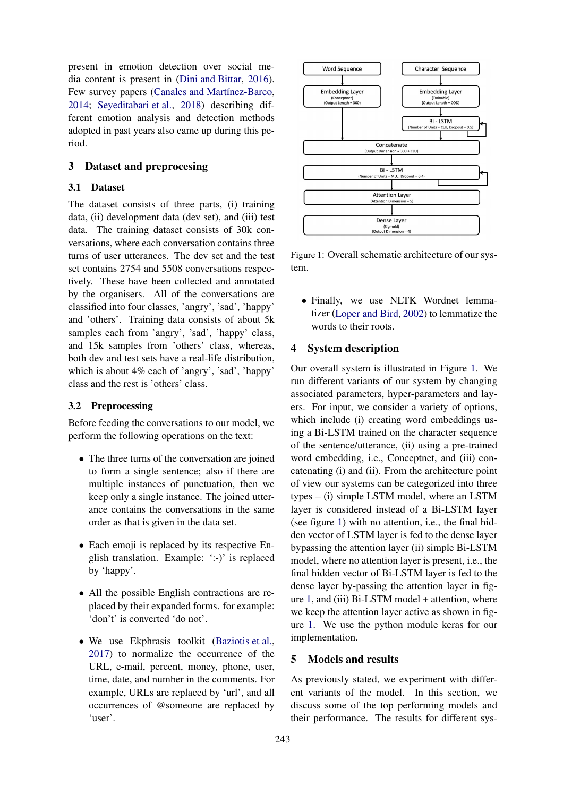present in emotion detection over social media content is present in [\(Dini and Bittar](#page-4-7), [2016\)](#page-4-7). Few survey papers (Canales and Martínez-Barco, [2014;](#page-4-8) [Seyeditabari et al.,](#page-5-0) [2018\)](#page-5-0) describing different emotion analysis and detection methods adopted in past years also came up during this period.

### 3 Dataset and preprocesing

#### 3.1 Dataset

The dataset consists of three parts, (i) training data, (ii) development data (dev set), and (iii) test data. The training dataset consists of 30k conversations, where each conversation contains three turns of user utterances. The dev set and the test set contains 2754 and 5508 conversations respectively. These have been collected and annotated by the organisers. All of the conversations are classified into four classes, 'angry', 'sad', 'happy' and 'others'. Training data consists of about 5k samples each from 'angry', 'sad', 'happy' class, and 15k samples from 'others' class, whereas, both dev and test sets have a real-life distribution, which is about 4% each of 'angry', 'sad', 'happy' class and the rest is 'others' class.

#### 3.2 Preprocessing

Before feeding the conversations to our model, we perform the following operations on the text:

- The three turns of the conversation are joined to form a single sentence; also if there are multiple instances of punctuation, then we keep only a single instance. The joined utterance contains the conversations in the same order as that is given in the data set.
- Each emoji is replaced by its respective English translation. Example: ':-)' is replaced by 'happy'.
- All the possible English contractions are replaced by their expanded forms. for example: 'don't' is converted 'do not'.
- We use Ekphrasis toolkit [\(Baziotis et al.,](#page-3-3) [2017\)](#page-3-3) to normalize the occurrence of the URL, e-mail, percent, money, phone, user, time, date, and number in the comments. For example, URLs are replaced by 'url', and all occurrences of @someone are replaced by 'user'.

<span id="page-2-0"></span>

Figure 1: Overall schematic architecture of our system.

• Finally, we use NLTK Wordnet lemmatizer [\(Loper and Bird](#page-4-27), [2002\)](#page-4-27) to lemmatize the words to their roots.

# 4 System description

Our overall system is illustrated in Figure [1.](#page-2-0) We run different variants of our system by changing associated parameters, hyper-parameters and layers. For input, we consider a variety of options, which include (i) creating word embeddings using a Bi-LSTM trained on the character sequence of the sentence/utterance, (ii) using a pre-trained word embedding, i.e., Conceptnet, and (iii) concatenating (i) and (ii). From the architecture point of view our systems can be categorized into three types – (i) simple LSTM model, where an LSTM layer is considered instead of a Bi-LSTM layer (see figure [1\)](#page-2-0) with no attention, i.e., the final hidden vector of LSTM layer is fed to the dense layer bypassing the attention layer (ii) simple Bi-LSTM model, where no attention layer is present, i.e., the final hidden vector of Bi-LSTM layer is fed to the dense layer by-passing the attention layer in figure [1,](#page-2-0) and (iii) Bi-LSTM model + attention, where we keep the attention layer active as shown in figure [1.](#page-2-0) We use the python module keras for our implementation.

#### 5 Models and results

As previously stated, we experiment with different variants of the model. In this section, we discuss some of the top performing models and their performance. The results for different sys-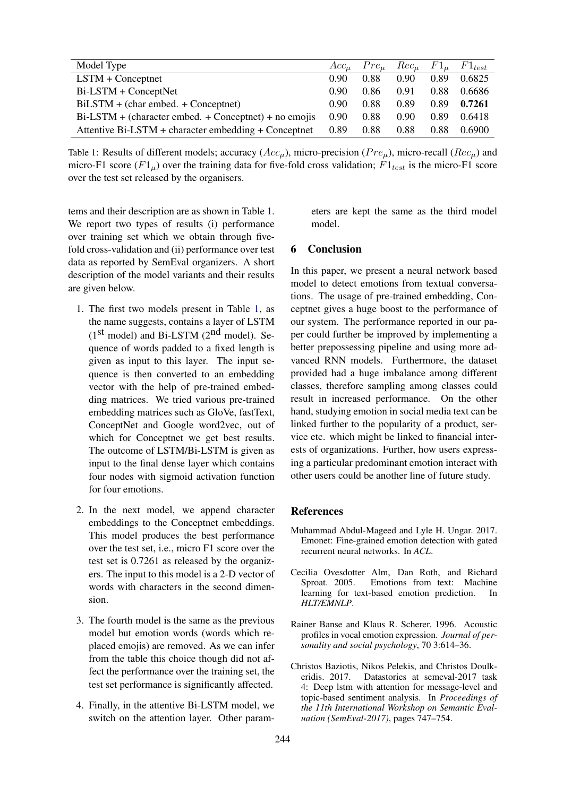<span id="page-3-4"></span>

| Model Type                                              |                   | $Acc_{\mu}$ $Pre_{\mu}$ $Rec_{\mu}$ $Fl_{\mu}$ $Fl_{test}$ |      |      |        |
|---------------------------------------------------------|-------------------|------------------------------------------------------------|------|------|--------|
| $LSTM + Conceptnet$                                     | 0.90              | 0.88                                                       | 0.90 | 0.89 | 0.6825 |
| $Bi$ -LSTM + ConceptNet                                 | 0.90              | 0.86                                                       | 0.91 | 0.88 | 0.6686 |
| $BiLSTM + (char embed. + Conceptnet)$                   | 0.90 <sub>1</sub> | 0.88                                                       | 0.89 | 0.89 | 0.7261 |
| $Bi-LSTM + (character embed. + Conceptnet) + no emojis$ | 0.90              | 0.88                                                       | 0.90 | 0.89 | 0.6418 |
| Attentive Bi-LSTM + character embedding + Conceptnet    | 0.89              | 0.88                                                       | 0.88 | 0.88 | 0.6900 |

Table 1: Results of different models; accuracy  $(Acc_\mu)$ , micro-precision ( $Pre_\mu$ ), micro-recall ( $Rec_\mu$ ) and micro-F1 score  $(Fl<sub>u</sub>)$  over the training data for five-fold cross validation;  $Fl<sub>test</sub>$  is the micro-F1 score over the test set released by the organisers.

tems and their description are as shown in Table [1.](#page-3-4) We report two types of results (i) performance over training set which we obtain through fivefold cross-validation and (ii) performance over test data as reported by SemEval organizers. A short description of the model variants and their results are given below.

- 1. The first two models present in Table [1,](#page-3-4) as the name suggests, contains a layer of LSTM  $(1<sup>st</sup> model)$  and Bi-LSTM  $(2<sup>nd</sup> model)$ . Sequence of words padded to a fixed length is given as input to this layer. The input sequence is then converted to an embedding vector with the help of pre-trained embedding matrices. We tried various pre-trained embedding matrices such as GloVe, fastText, ConceptNet and Google word2vec, out of which for Conceptnet we get best results. The outcome of LSTM/Bi-LSTM is given as input to the final dense layer which contains four nodes with sigmoid activation function for four emotions.
- 2. In the next model, we append character embeddings to the Conceptnet embeddings. This model produces the best performance over the test set, i.e., micro F1 score over the test set is 0.7261 as released by the organizers. The input to this model is a 2-D vector of words with characters in the second dimension.
- 3. The fourth model is the same as the previous model but emotion words (words which replaced emojis) are removed. As we can infer from the table this choice though did not affect the performance over the training set, the test set performance is significantly affected.
- 4. Finally, in the attentive Bi-LSTM model, we switch on the attention layer. Other param-

eters are kept the same as the third model model.

### 6 Conclusion

In this paper, we present a neural network based model to detect emotions from textual conversations. The usage of pre-trained embedding, Conceptnet gives a huge boost to the performance of our system. The performance reported in our paper could further be improved by implementing a better prepossessing pipeline and using more advanced RNN models. Furthermore, the dataset provided had a huge imbalance among different classes, therefore sampling among classes could result in increased performance. On the other hand, studying emotion in social media text can be linked further to the popularity of a product, service etc. which might be linked to financial interests of organizations. Further, how users expressing a particular predominant emotion interact with other users could be another line of future study.

### References

- <span id="page-3-2"></span>Muhammad Abdul-Mageed and Lyle H. Ungar. 2017. Emonet: Fine-grained emotion detection with gated recurrent neural networks. In *ACL*.
- <span id="page-3-1"></span>Cecilia Ovesdotter Alm, Dan Roth, and Richard Sproat. 2005. Emotions from text: Machine learning for text-based emotion prediction. In *HLT/EMNLP*.
- <span id="page-3-0"></span>Rainer Banse and Klaus R. Scherer. 1996. Acoustic profiles in vocal emotion expression. *Journal of personality and social psychology*, 70 3:614–36.
- <span id="page-3-3"></span>Christos Baziotis, Nikos Pelekis, and Christos Doulkeridis. 2017. Datastories at semeval-2017 task 4: Deep lstm with attention for message-level and topic-based sentiment analysis. In *Proceedings of the 11th International Workshop on Semantic Evaluation (SemEval-2017)*, pages 747–754.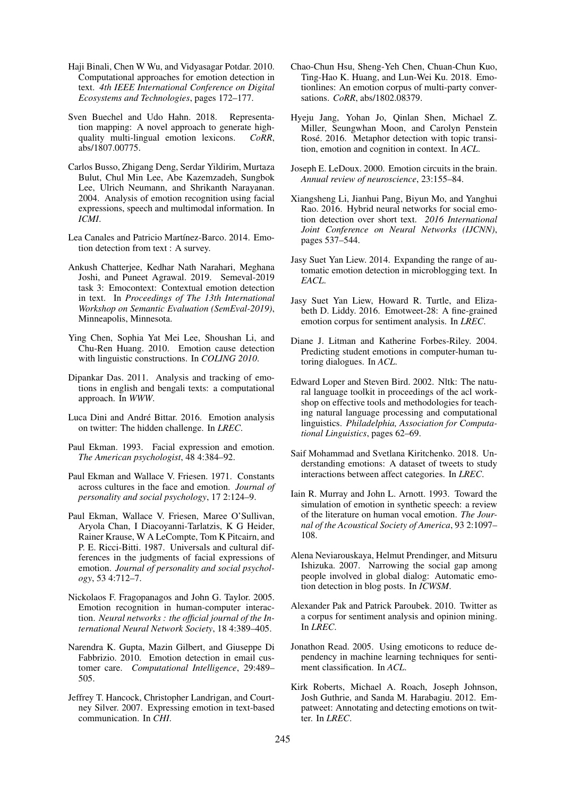- <span id="page-4-6"></span>Haji Binali, Chen W Wu, and Vidyasagar Potdar. 2010. Computational approaches for emotion detection in text. *4th IEEE International Conference on Digital Ecosystems and Technologies*, pages 172–177.
- <span id="page-4-25"></span>Sven Buechel and Udo Hahn. 2018. Representation mapping: A novel approach to generate highquality multi-lingual emotion lexicons. *CoRR*, abs/1807.00775.
- <span id="page-4-11"></span>Carlos Busso, Zhigang Deng, Serdar Yildirim, Murtaza Bulut, Chul Min Lee, Abe Kazemzadeh, Sungbok Lee, Ulrich Neumann, and Shrikanth Narayanan. 2004. Analysis of emotion recognition using facial expressions, speech and multimodal information. In *ICMI*.
- <span id="page-4-8"></span>Lea Canales and Patricio Martínez-Barco. 2014. Emotion detection from text : A survey.
- <span id="page-4-0"></span>Ankush Chatterjee, Kedhar Nath Narahari, Meghana Joshi, and Puneet Agrawal. 2019. Semeval-2019 task 3: Emocontext: Contextual emotion detection in text. In *Proceedings of The 13th International Workshop on Semantic Evaluation (SemEval-2019)*, Minneapolis, Minnesota.
- <span id="page-4-17"></span>Ying Chen, Sophia Yat Mei Lee, Shoushan Li, and Chu-Ren Huang. 2010. Emotion cause detection with linguistic constructions. In *COLING 2010*.
- <span id="page-4-21"></span>Dipankar Das. 2011. Analysis and tracking of emotions in english and bengali texts: a computational approach. In *WWW*.
- <span id="page-4-7"></span>Luca Dini and André Bittar. 2016. Emotion analysis on twitter: The hidden challenge. In *LREC*.
- <span id="page-4-3"></span>Paul Ekman. 1993. Facial expression and emotion. *The American psychologist*, 48 4:384–92.
- <span id="page-4-2"></span>Paul Ekman and Wallace V. Friesen. 1971. Constants across cultures in the face and emotion. *Journal of personality and social psychology*, 17 2:124–9.
- <span id="page-4-4"></span>Paul Ekman, Wallace V. Friesen, Maree O'Sullivan, Aryola Chan, I Diacoyanni-Tarlatzis, K G Heider, Rainer Krause, W A LeCompte, Tom K Pitcairn, and P. E. Ricci-Bitti. 1987. Universals and cultural differences in the judgments of facial expressions of emotion. *Journal of personality and social psychology*, 53 4:712–7.
- <span id="page-4-5"></span>Nickolaos F. Fragopanagos and John G. Taylor. 2005. Emotion recognition in human-computer interaction. *Neural networks : the official journal of the International Neural Network Society*, 18 4:389–405.
- <span id="page-4-15"></span>Narendra K. Gupta, Mazin Gilbert, and Giuseppe Di Fabbrizio. 2010. Emotion detection in email customer care. *Computational Intelligence*, 29:489– 505.
- <span id="page-4-13"></span>Jeffrey T. Hancock, Christopher Landrigan, and Courtney Silver. 2007. Expressing emotion in text-based communication. In *CHI*.
- <span id="page-4-22"></span>Chao-Chun Hsu, Sheng-Yeh Chen, Chuan-Chun Kuo, Ting-Hao K. Huang, and Lun-Wei Ku. 2018. Emotionlines: An emotion corpus of multi-party conversations. *CoRR*, abs/1802.08379.
- <span id="page-4-18"></span>Hyeju Jang, Yohan Jo, Qinlan Shen, Michael Z. Miller, Seungwhan Moon, and Carolyn Penstein Rosé. 2016. Metaphor detection with topic transition, emotion and cognition in context. In *ACL*.
- <span id="page-4-9"></span>Joseph E. LeDoux. 2000. Emotion circuits in the brain. *Annual review of neuroscience*, 23:155–84.
- <span id="page-4-26"></span>Xiangsheng Li, Jianhui Pang, Biyun Mo, and Yanghui Rao. 2016. Hybrid neural networks for social emotion detection over short text. *2016 International Joint Conference on Neural Networks (IJCNN)*, pages 537–544.
- <span id="page-4-20"></span>Jasy Suet Yan Liew. 2014. Expanding the range of automatic emotion detection in microblogging text. In *EACL*.
- <span id="page-4-23"></span>Jasy Suet Yan Liew, Howard R. Turtle, and Elizabeth D. Liddy. 2016. Emotweet-28: A fine-grained emotion corpus for sentiment analysis. In *LREC*.
- <span id="page-4-10"></span>Diane J. Litman and Katherine Forbes-Riley. 2004. Predicting student emotions in computer-human tutoring dialogues. In *ACL*.
- <span id="page-4-27"></span>Edward Loper and Steven Bird. 2002. Nltk: The natural language toolkit in proceedings of the acl workshop on effective tools and methodologies for teaching natural language processing and computational linguistics. *Philadelphia, Association for Computational Linguistics*, pages 62–69.
- <span id="page-4-24"></span>Saif Mohammad and Svetlana Kiritchenko. 2018. Understanding emotions: A dataset of tweets to study interactions between affect categories. In *LREC*.
- <span id="page-4-1"></span>Iain R. Murray and John L. Arnott. 1993. Toward the simulation of emotion in synthetic speech: a review of the literature on human vocal emotion. *The Journal of the Acoustical Society of America*, 93 2:1097– 108.
- <span id="page-4-16"></span>Alena Neviarouskaya, Helmut Prendinger, and Mitsuru Ishizuka. 2007. Narrowing the social gap among people involved in global dialog: Automatic emotion detection in blog posts. In *ICWSM*.
- <span id="page-4-14"></span>Alexander Pak and Patrick Paroubek. 2010. Twitter as a corpus for sentiment analysis and opinion mining. In *LREC*.
- <span id="page-4-12"></span>Jonathon Read. 2005. Using emoticons to reduce dependency in machine learning techniques for sentiment classification. In *ACL*.
- <span id="page-4-19"></span>Kirk Roberts, Michael A. Roach, Joseph Johnson, Josh Guthrie, and Sanda M. Harabagiu. 2012. Empatweet: Annotating and detecting emotions on twitter. In *LREC*.